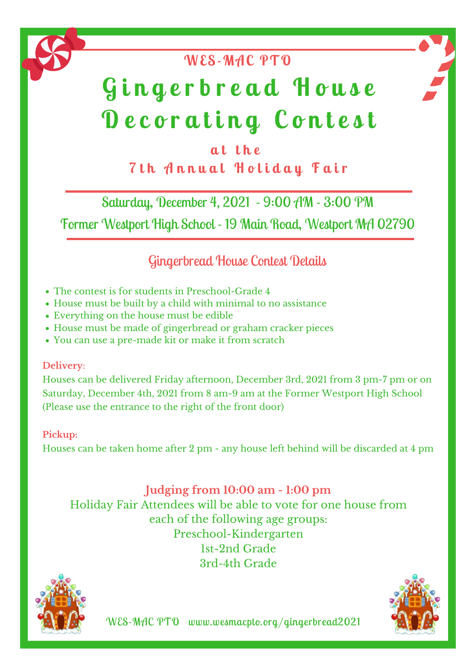### **a t t h e 7 t h A n n u a l H o l i d a y F a i r**

## **WES-MAC PTO**

#### Saturday, December 4, 2021 - 9:00 AM - 3:00 PM

Former Westport High School - 19 Main Road, Westport MA 02790

#### Gingerbread House Contest Details

WES-MAC PTO www.wesmacpto.org/gingerbread2021



# **G i n g e r b r e a d H o u s e D e c o r a t i n g C o n t e s t**

- The contest is for students in Preschool-Grade 4
- House must be built by a child with minimal to no assistance
- Everything on the house must be edible
- House must be made of gingerbread or graham cracker pieces
- You can use a pre-made kit or make it from scratch

**Delivery**:

Houses can be delivered Friday afternoon, December 3rd, 2021 from 3 pm-7 pm or on Saturday, December 4th, 2021 from 8 am-9 am at the Former Westport High School (Please use the entrance to the right of the front door)

**Pickup:**

Houses can be taken home after 2 pm - any house left behind will be discarded at 4 pm

#### **Judging from 10:00 am - 1:00 pm** Holiday Fair Attendees will be able to vote for one house from each of the following age groups: Preschool-Kindergarten 1st-2nd Grade 3rd-4th Grade